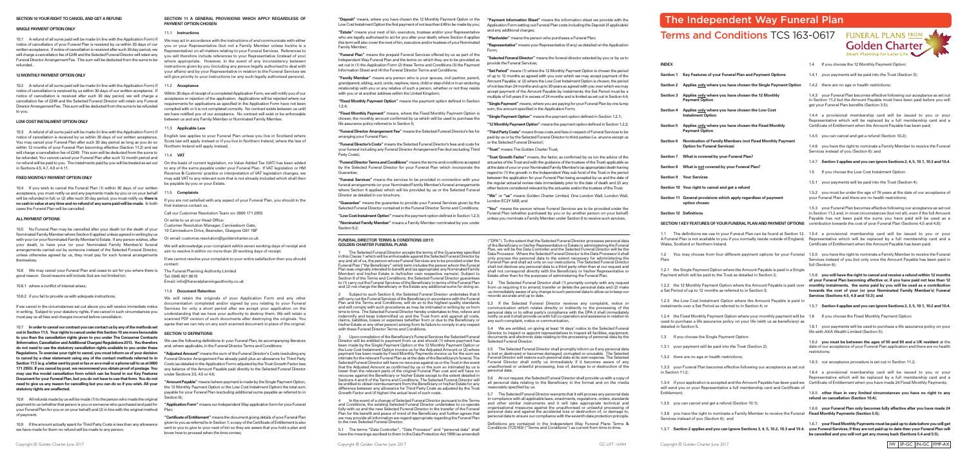**INDEX**

- **Section 1 Key Features of your Funeral Plan and Payment Options**
- **Section 2 Applies only where you have chosen the Single Payment Option**
- **Section 3 Applies only where you have chosen the 12 Monthly Payment Option**
- **Section 4 Applies only where you have chosen the Low Cost Instalment Option**
- **Section 5 Applies only where you have chosen the Fixed Monthly Payment Option**
- **Section 6 Nomination of Family Members (not Fixed Monthly Payment Option for Funeral Services)**
- **Section 7 What is covered by your Funeral Plan?**
- **Section 8 What is not covered by your Funeral Plan?**
- **Section 9 Your Services**
- **Section 10 Your right to cancel and get a refund**
- **Section 11 General provisions which apply regardless of payment option chosen**
- **Section 12 Definitions**

1.2.1 the Single Payment Option where the Amount Payable is paid in a Single Payment which will be paid to the Trust as detailed in Section 2;

1.2.2 the 12 Monthly Payment Option where the Amount Payable is paid ove a Set Period of up to 12 months as referred to in Section 3;

- 1.3 If you choose the Single Payment Option:
- 1.3.1 your payment will be paid into the Trust (Section 2);
- 1.3.2 there are no age or health restrictions;

Wales, Scotland or Northern Ireland.

1.2 You may choose from four different payment options for your Funeral 1.5.5 you have the right to nominate a Family Member to receive the Funeral Plan:

- 1.4 If you choose the 12 Monthly Payment Option:
- 1.4.1 your payments will be paid into the Trust (Section 3);
- 1.4.2 there are no age or health restrictions;

1.2.3 the Low Cost Instalment Option where the Amount Payable is paid in instalments over a Set Period as referred to in Section 4; or

1.2.4 the Fixed Monthly Payment Option where your monthly payment will be 1.6 If you choose the Fixed Monthly Payment Option: used to purchase a life assurance policy on your life (with us as beneficiary) as detailed in Section 5.

1.3.3 your Funeral Plan becomes effective following our acceptance as set out in Section 11.2;

Services instead of you but only once the Amount Payable has been paid in full (Section 6):

1.3.4 if your application is accepted and the Amount Payable has been paid we Certificate of Entitlement when you have made 24 Fixed Monthly Payments; will send you or your Representative a full membership card and Certificate of Entitlement;

1.3.5 you can cancel and get a refund (Section 10.1);

1.3.6 you have the right to nominate a Family Member to receive the Funeral **Fixed Monthly Payments (Section 5.5);** Services instead of you (Section 6); and

#### **SECTION 1 KEY FEATURES OF YOUR FUNERAL PLAN AND PAYMENT OPTIONS** contribution towards the cost of your Funeral Plan (Sections 4.5 and 4.8);

1.1 The definitions we use in your Funeral Plan can be found at Section 12. 1.5.4 a provisional membership card will be issued to you or your A Funeral Plan is not available to you if you normally reside outside of England, Representative which will be replaced by a full membership card and a Certificate of Entitlement when the Amount Payable has been paid;

1.4.3 your Funeral Plan becomes effective following our acceptance as set out in Section 11.2 but the Amount Payable must have been paid before you will get your Funeral Plan benefits (Section 3.5);

**Golden Charter** nart Planning for Later Life  $\blacksquare$ 

1.3.7 Section 2 applies and you can ignore Sections 3, 4, 5, 10.2, 10.3 and 10.4. your Funeral Services; if they are not paid up to date then your Funeral Plan will 1.6.7 **your Fixed Monthly Payments must be paid up to date before you will get be cancelled and you will not get any money back (Sections 5.4 and 5.5);**

1.4.4 a provisional membership card will be issued to you or your Representative which will be replaced by a full membership card and a Certificate of Entitlement when the Amount Payable has been paid;

1.4.5 you can cancel and get a refund (Section 10.2);

1.4.6 you have the right to nominate a Family Member to receive the Funeral Services instead of you (Section 6); and

- 1.4.7 **Section 3 applies and you can ignore Sections 2, 4, 5, 10.1, 10.3 and 10.4.**
- 1.5 If you choose the Low Cost Instalment Option:
- 1.5.1 your payments will be paid into the Trust (Section 4);

1.5.2 you must be under the age of 78 years at the date of our acceptance of your Funeral Plan and there are no health restrictions;

1.5.3 your Funeral Plan becomes effective following our acceptance as set out in Section 11.2 and, in most circumstances (but not all), even if the full Amount Payable has not been paid the sums you have paid will be used as a

1.5.6 **you will have the rightto cancel and receive a refund within 12 months of your Funeral Plan becoming effective or, if you have paid not less than 12 monthly instalments, the sums paid by you will be used as a contribution towards the cost of your (or your Nominated Family Member's) Funeral Services (Sections 4.5, 4.8 and 10.3); and**

- 1.5.7 **Section 4 applies and you can ignore Sections 2, 3, 5, 10.1, 10.2 and 10.4.**
- 

1.6.1 your payments will be used to purchase a life assurance policy on your life with AXA Wealth Limited (Section 5);

1.6.2 **you must be between the ages of 50 and 80 and a UK resident** at the date of our acceptance of your Funeral Plan application and there are no health restrictions;

10.8 All refunds made by us will be made (1) to the person who made the original payment to us (whether that person is you or someone who purchased and paid for your Funeral Plan for you or on your behalf) and (2) in line with the original method Plan; of payment.

10.9 If the amount actually spent for Third Party Costs is less than any allowance we have made for them no refund will be made to any person.

1.6.3 our acceptance procedure is set out in Section 11.2;

1.6.4 a provisional membership card will be issued to you or your Representative which will be replaced by a full membership card and a

1.6.5 **other than in very limited circumstances you have no right to any refund on cancellation (Section 10.4);**

1.6.6 **your Funeral Plan only becomes fully effective after you have made 24**

Within 30 days of receipt of a completed Application Form, we will notify you of our acceptance or rejection of the application. Applications will be rejected where our requirements for applications as specified in the Application Form have not been complied with or it is not completed correctly. No contract exists between us until we have notified you of our acceptance. No contract will exist or be enforceable between us and any Family Member or Nominated Family Member.

English law applies to your Funeral Plan unless you live in Scotland where Scots law will apply instead or if you live in Northern Ireland, where the law of Northern Ireland will apply instead.

Application Form setting out Funeral Plan costs including the Deposit (if applicable) and any additional charges:

# **SECTION 10 YOUR RIGHT TO CANCEL AND GET A REFUND**

## **SINGLE PAYMENT OPTION ONLY**

10.1 A refund of all sums paid will be made (in line with the Application Form) if notice of cancellation of your Funeral Plan is received by us within 30 days of our written acceptance. If notice of cancellation is received after such 30 day period, we will charge a cancellation fee of £249 and the Selected Funeral Director will retain any Funeral Director Arrangement Fee. This sum will be deducted from the sums to be refunded.

> If we cannot resolve your complaint to your entire satisfaction then you should contact:

### **12 MONTHLY PAYMENT OPTION ONLY**

10.2 A refund of all sums paid will be made (in line with the Application Form) if 11.2 **Acceptance** notice of cancellation is received by us within 30 days of our written acceptance. If notice of cancellation is received after such 30 day period, we will charge a cancellation fee of £249 and the Selected Funeral Director will retain any Funeral Director Arrangement Fee. This sum will be deducted from the sums to be refunded to you.

## **LOW COST INSTALMENT OPTION ONLY**

"Amount Payable" means (where payment is made by the Single Payment Option, the 12 Monthly Payment Option or the Low Cost Instalment Option) the total sum payable for your Funeral Plan (excluding additional sums payable as referred to in Section 8);

"Application Form" means our Independent Way application form for your Funeral

10.3 A refund of all sums paid will be made (in line with the Application Form) if notice of cancellation is received by us within 30 days of our written acceptance. You may cancel your Funeral Plan after such 30 day period as long as you do so within 12 months of your Funeral Plan becoming effective (Section 11.2) and we will charge a cancellation fee of £249. This sum will be deducted from the sums to be refunded. You cannot cancel your Funeral Plan after such 12 month period and no refund will be paid to you. The instalments paid by you will be treated as set out On the basis of current legislation, no Value Added Tax (VAT) has been added in Sections 4.5, 4.7, 4.8 or 4.11.

> "Certificate of Entitlement" means the document giving details of your Funeral Plan given to you as referred to in Section 1; a copy of the Certificate of Entitlement is also sent to you to give to your next of kin so they are aware that you hold a plan and know how to proceed when the time comes;

1 The Selected Funeral Director accepts the terms of the Guarantee specified in this Clause 1 which will be enforceable against the Selected Funeral Director by any and all of us, the person whose Funeral Services are to be provided under the Funeral Plan ("the Beneficiary" which term includes the person whom the Funeral Plan was originally intended to benefit and (as appropriate) any Nominated Family Member) and his/her Estate in its/his/her own respective name(s). Subject to Section 8 of the Terms and Conditions, the Selected Funeral Director guarantees to (1) carry out the Funeral Services of the Beneficiary in terms of the Funeral Plan and (2) not charge the Beneficiary or the Estate any additional sums for doing so.

#### **FIXED MONTHLY PAYMENT OPTION ONLY**

10.4 If you wish to cancel the Funeral Plan (1) within 30 days of our written acceptance, you must notify us and any payments made by you or on your behalf 11.5 **Complaints** will be refunded in full; or (2) after such 30 day period, you must notify us; **there is no cash in value at any time and no refund of any sums paid will be made.** In both cases the Funeral Plan will be cancelled.

#### **ALL PAYMENT OPTIONS**

10.5 No Funeral Plan may be cancelled after your death (or the death of your Nominated Family Member where Section 6 applies) unless agreed in writing by us with your (or your Nominated Family Member's) Estate. If any person wishes, after your death, to have your (or your Nominated Family Member's) funeral We will acknowledge your complaint within seven working days ofreceipt and arrangements carried out by someone instead of the Selected Funeral Director, aim to resolve it within no more than 20 working days of receipt. unless otherwise agreed by us, they must pay for such funeral arrangements themselves.

10.6 We may cancel your Funeral Plan and cease to act for you where there is The Funeral Planning Authority Limited good reason. Good reasons will include (but are not limited to):

10.6.1 where a conflict of interest arises;

10.6.2 if you fail to provide us with adequate instructions.

5.1 The terms "Data Controller", "Data Processor" and "personal data" shall have the meanings ascribed to them in the Data Protection Act 1998 (as amended)

If we cancel in the circumstances set out above you will receive immediate notice in writing. Subject to your statutory rights, if we cancel in such circumstances you must pay us all fees and charges incurred before cancellation.

10.7 **Inordertocancelour contractyoucancontactusbyanyofthemethods set outinSection11.5. Yourrights tocancelunderthisSection10aremorefavourable to you than the cancellation rights given to you under The Consumer Contracts (Information,CancellationandAdditionalCharges)Regulations2013. Youtherefore do not need to use the statutory cancellation rights available to you under these Regulations.** To exercise your right to cancel, you must inform us of your decision **to cancel by a clear statement using any of the contact methods referred to in** Section 11.5 (e.g. a letter sent by post or fax or an e-mail or a phone call to us at 0800 171 2955). If you cancel by post, we recommend you obtain proof of postage. You any balance of the Amount Payable paid directly to the Selected Funeral Director **may use the model cancellation form which can be found in our Key Features Documentfor your Funeral Plan, but you do not have to use thatform.You do not need to give us any reason for cancelling but you can do so if you wish. All your statutory rights are unaffected.**

5.4 We are entitled, on giving at least 14 days' notice to the Selected Funeral Director, to inspect or appoint representatives to inspect all facilities, equipment

5.7 The Selected Funeral Director warrants that it will process any personal data in compliance with all applicable laws, enactments, regulations, orders, standards and other similar instruments and it will take appropriate technical and organisational measures against the unauthorised or unlawful processing of personal data and against the accidental loss or destruction of, or damage to, personal data to ensure our compliance with the seventh data protection principle.

Upon completion of the Beneficiary's Funeral Services the Selected Funeral Director will be entitled to payment from us and should (1) where payment has been made by the Single Payment Option or the 12 Monthly Payment Option or the Low Cost Instalment Option invoice us forthe Adjusted Amount or(2) where payment has been made by Fixed Monthly Payments invoice us for the sum we intimate for the relevant Funeral Plan as at the date of the Beneficiary's funeral. The Selected Funeral Director will have no recourse against us or the Trust in the event that the Adjusted Amount as confirmed by us or the sum so intimated by us is lower than the relevant parts of the original Funeral Plan cost and will have no recourse against the Beneficiary or his/her Estate except to the extent detailed in Sections 4 and 8 of the Terms and Conditions. The Selected Funeral Director will be entitled to obtain reimbursement from the Beneficiary or his/her Estate for any difference between any allowance for Third Party Costs as adjusted by the Trust Growth Factor and (if higher) the actual level of such costs. documents and electronic data relating to the processing of personal data by the Selected Funeral Director. 5.5 The Selected Funeral Director shall promptly inform us if any personal data is lost or destroyed or becomes damaged, corrupted or unusable. The Selected Funeral Director will restore such personal data at its own expense. The Selected Funeral Director shall notify us immediately if it becomes aware of any unauthorised or unlawful processing, loss of, damage to or destruction of the personal data. 5.6 At our request, the Selected Funeral Director shall provide us with a copy of all personal data relating to the Beneficiary in the format and on the media reasonably specified by us.

**"Deposit"** means, where you have chosen the 12 Monthly Payment Option or the **"Payment Information Sheet"** means the information sheet we provide with the Low Cost Instalment Option the first payment of not less than £49 to be made by you;

### **SECTION 11 A GENERAL PROVISIONS WHICH APPLY REGARDLESS OF PAYMENT OPTION CHOSEN**

#### 11.1 **Instructions**

**"Family Member"** means any person who is your spouse, civil partner, parent, grandparent, sibling, aunt, uncle, nephew, niece, child or step-child or in an enduring relationship with you or any relative of such a person, whether or not they reside with you or at another address within the United Kingdom: of up to 12 months as agreed with you over which we may accept payment of the Amount Payable; or(2) where the Low Cost Instalment Option is chosen, the period of not less than 24 months and up to 30 years as agreed with you over which we may accept payment of the Amount Payable by instalments; the Set Period must be a multiple of full years if in excess of 24 months and is limited as set out in Section 4.4;

We may act in accordance with the instructions of and communicate with either you or your Representative (but not a Family Member unless he/she is a Representative) on all matters relating to your Funeral Services. References to you will therefore include references to your Representative (instead of you) where appropriate. However, in the event of any inconsistency between instructions given by you (including any person legally authorised to deal with your affairs) and by your Representative in relation to the Funeral Services we will give priority to your instructions (or any such legally authorised persons).

**"FuneralDirectorTermsandConditions"**means thetermsandconditionsaccepted by the Selected Funeral Director for your Funeral Plan which incorporate the Guarantee; **"Funeral Services"** means the services to be provided in connection with your funeral arrangements (or your Nominated Family Member's funeral arrangements **"Trust Growth Factor"** means, the factor, as confirmed by us (on the advice of the actuaries of the Trust and with the guidance of the trustees of the Trust) applicable as atthedateofyouroryourNominatedFamilyMember's(asappropriate)deathhaving regard to (1) the growth in the Independent Way sub fund of the Trust in the period between the application for your Funeral Plan being accepted by us and the date of the regular actuarial review date immediately prior to the date of death and (2) any other factors considered relevant by the actuaries and/or the trustees of the Trust;

where Section 6 applies) which will be provided by us or the Selected Funeral Director as detailed in our brochure;

**"Nominated Family Member"** means a Family Member nominated by you under Section 6.2:

#### 11.3 **Applicable Law**

"Representative" means your Representative (if any) as detailed on the Application Form;

## 11.4 **VAT**

to any of the sums payable under your Funeral Plan. If VAT legislation or HM Revenue & Customs' practice or interpretation of VAT legislation changes, we may add VAT to any relevant sum that is not already included which shall then be payable by you or your Estate.

"Single Payment" means, where you are paying for your Funeral Plan by one lump sum, the amount specified in the Application Form;

**"ThirdPartyCosts"**means thosecostsandfees inrespectofFuneralServices tobe paid by us or by the Selected Funeral Director to third parties (i.e. anyone except us or the Selected Funeral Director);

If you are not satisfied with any aspect of your Funeral Plan, you should in the first instance contact us.

Call our Customer Resolution Team on: 0800 171 2955

Or write to us at our Head Office: Customer Resolution Manager, Canniesburn Gate, 10 Canniesburn Drive, Bearsden, Glasgow G61 1BF

Or email: customer.resolution@goldencharter.co.uk

Tel: 0845 601 9619 Email: info@funeralplanningauthority.co.uk

#### 11.6 **Document Retention**

We will retain the originals of your Application Form and any other documentation completed and/or signed by you relating to your Funeral Services for only a short period after we accept your application on the understanding that we have your authority to destroy them. We will retain a scanned PDF version of such documents after destroying the originals. You agree that we can rely on any such scanned document in place of the original.

#### **SECTION 12 DEFINITIONS**

We use the following definitions in your Funeral Plan, its accompanying literature and, where applicable, in the Funeral Director Terms and Conditions:

**"Adjusted Amount"** means the sum of the Funeral Director's Costs (excluding any Funeral Director Arrangement Fee already paid) plus an allowance for Third Party Costs (as detailed in the Application Form) adjusted by the Trust Growth Factor less under Sections 3.5, 4.5 or 4.8;

### **FUNERAL DIRECTOR TERMS & CONDITIONS (2017) GOLDEN CHARTER FUNERAL PLANS**

2 Subject to such Section 8, the Selected Funeral Director undertakes that it will carry out the Funeral Services of the Beneficiary in accordance with the Funeral Plan and the Terms and Conditions, will do so to the highest quality standards and will comply with such procedures as may be intimated in writing by us from time to time. The Selected Funeral Director hereby undertakes to free, relieve and indemnify and keep indemnified us and the Trust from and against all costs, claims, liabilities, losses or expenses (whether from or due to the Beneficiary or his/her Estate or any other person) arising fromits failure to comply in any respect with these Funeral Director Terms and Conditions.

4 In the event of a change of Selected Funeral Director pursuant to the Terms and Conditions, the existing Selected Funeral Director undertakes to co-operate fully with us and the new Selected Funeral Director in the transfer of the Funeral Plan for the benefit and peace of mind of the Beneficiary and further agrees that wemay provide all information we regard appropriate regarding the Funeral Plan to the new Selected Funeral Director.

("DPA"). To the extent that the Selected Funeral Director processes personal data of the Beneficiary or his/her Representative or Estate in administering the Funeral Plan, we will be the Data Controller and the Selected Funeral Director will be the Data Processor. Where the Selected Funeral Director is the Data Processor it shall only process the personal data to the extent necessary for administering the Funeral Plan and shall act only on ourinstructions. The Selected Funeral Director shall not disclose any personal data to a third party other than at our request and shall not correspond directly with the Beneficiary or his/her Representative or Estate other than for the purposes of administering the Funeral Plan.

5.2 The Selected Funeral Director shall (1) promptly comply with any request from us requiring it to amend, transfer or delete the personal data and (2) make us immediately aware of any change to such personal data to allow us to keep our records accurate and up to date.

5.3 If the Selected Funeral Director receives any complaint, notice or communication which relates directly or indirectly to the processing of the personal data or to either party's compliance with the DPA it shall immediately notify us and it shall provide us with full co-operation and assistance in relation to any such complaint, notice or communication.

Definitions are contained in the Independent Way Funeral Plans Terms & Conditions (TCS163) ("Terms and Conditions") as current from time to time.

**"Estate"** means your next of kin, executors, trustees and/or your Representative who are legally authorised to act for you after your death; where Section 6 applies this term will also cover the next of kin, executors and/or trustees of your Nominated Family Member;

**"Fixed Monthly Payment Option"** means the payment option defined in Section 1.2.4;

**"Funeral Director Arrangement Fee"** means the Selected Funeral Director's fee for arranging your Funeral Plan;

**"Funeral Director'sCosts"**means theSelected Funeral Director's fees and costs for your funeral including any Funeral Director Arrangement Fee (but excluding Third Party Costs);

**"Funeral Plan"** means the prepaid Funeral Services offered by us as part of the Independent Way Funeral Plan and the terms on which they are to be provided as set out in (1) the Application Form (2) these Terms and Conditions (3) the Payment Information Sheet and (4) the Funeral Director Terms and Conditions; **"Selected Funeral Director"** means the funeral director selected by you or by us to provide the Funeral Services; **"Set Period"** means (1) where the 12 Monthly Payment Option is chosen the period

**"Guarantee"** means the guarantee to provide your Funeral Services given by the Selected Funeral Director contained in the Funeral Director Terms and Conditions;

"Low Cost Instalment Option" means the payment option defined in Section 1.2.3;

**"Fixed Monthly Payment"** means, where the Fixed Monthly Payment Option is chosen, the monthly amount confirmed by us which will be used to purchase the life assurance policy referred to in Section 5; **"Single Payment Option"** means the payment option defined in Section 1.2.1; **"12MonthlyPaymentOption"**means thepaymentoptiondefinedinSection1.2.2;

**"Planholder"** means the person who purchases a Funeral Plan;

**"Trust"** means The Golden Charter Trust;

**"We"** or **"us"** means Golden Charter Limited, One London Wall, London Wall, London EC2Y 5AB; and

**"You"** means the person whose Funeral Services are to be provided under the Funeral Plan (whether purchased by you or by another person on your behalf) unless you nominate a Family Member under Section 6 to receive such services.

# **The Independent Way Funeral Plan**

**Terms and Conditions** TCS 163-0617